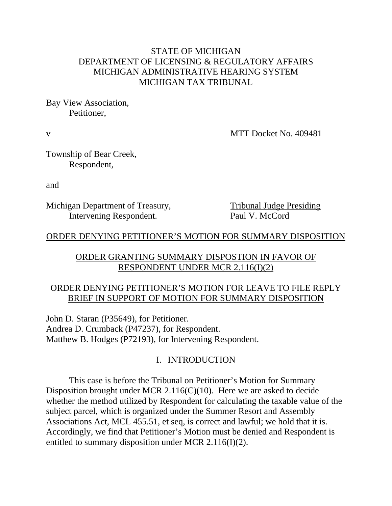## STATE OF MICHIGAN DEPARTMENT OF LICENSING & REGULATORY AFFAIRS MICHIGAN ADMINISTRATIVE HEARING SYSTEM MICHIGAN TAX TRIBUNAL

Bay View Association, Petitioner,

v MTT Docket No. 409481

Township of Bear Creek, Respondent,

and

Michigan Department of Treasury, Tribunal Judge Presiding Intervening Respondent. Paul V. McCord

## ORDER DENYING PETITIONER'S MOTION FOR SUMMARY DISPOSITION

## ORDER GRANTING SUMMARY DISPOSTION IN FAVOR OF RESPONDENT UNDER MCR 2.116(I)(2)

## ORDER DENYING PETITIONER'S MOTION FOR LEAVE TO FILE REPLY BRIEF IN SUPPORT OF MOTION FOR SUMMARY DISPOSITION

John D. Staran (P35649), for Petitioner. Andrea D. Crumback (P47237), for Respondent. Matthew B. Hodges (P72193), for Intervening Respondent.

# I. INTRODUCTION

This case is before the Tribunal on Petitioner's Motion for Summary Disposition brought under MCR 2.116(C)(10). Here we are asked to decide whether the method utilized by Respondent for calculating the taxable value of the subject parcel, which is organized under the Summer Resort and Assembly Associations Act, MCL 455.51, et seq, is correct and lawful; we hold that it is. Accordingly, we find that Petitioner's Motion must be denied and Respondent is entitled to summary disposition under MCR 2.116(I)(2).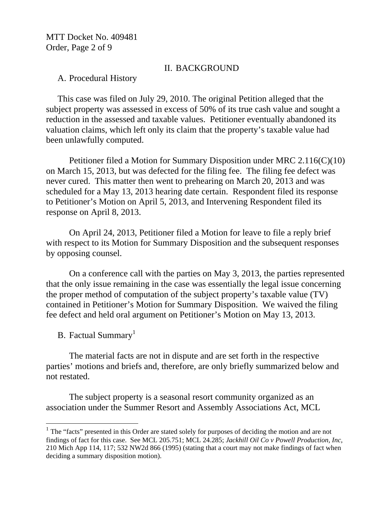MTT Docket No. 409481 Order, Page 2 of 9

#### II. BACKGROUND

### A. Procedural History

This case was filed on July 29, 2010. The original Petition alleged that the subject property was assessed in excess of 50% of its true cash value and sought a reduction in the assessed and taxable values. Petitioner eventually abandoned its valuation claims, which left only its claim that the property's taxable value had been unlawfully computed.

Petitioner filed a Motion for Summary Disposition under MRC 2.116(C)(10) on March 15, 2013, but was defected for the filing fee. The filing fee defect was never cured. This matter then went to prehearing on March 20, 2013 and was scheduled for a May 13, 2013 hearing date certain. Respondent filed its response to Petitioner's Motion on April 5, 2013, and Intervening Respondent filed its response on April 8, 2013.

On April 24, 2013, Petitioner filed a Motion for leave to file a reply brief with respect to its Motion for Summary Disposition and the subsequent responses by opposing counsel.

On a conference call with the parties on May 3, 2013, the parties represented that the only issue remaining in the case was essentially the legal issue concerning the proper method of computation of the subject property's taxable value (TV) contained in Petitioner's Motion for Summary Disposition. We waived the filing fee defect and held oral argument on Petitioner's Motion on May 13, 2013.

B. Factual Summary<sup>1</sup>

 $\overline{a}$ 

The material facts are not in dispute and are set forth in the respective parties' motions and briefs and, therefore, are only briefly summarized below and not restated.

The subject property is a seasonal resort community organized as an association under the Summer Resort and Assembly Associations Act, MCL

<sup>&</sup>lt;sup>1</sup> The "facts" presented in this Order are stated solely for purposes of deciding the motion and are not findings of fact for this case. See MCL 205.751; MCL 24.285; *Jackhill Oil Co v Powell Production, Inc*, 210 Mich App 114, 117; 532 NW2d 866 (1995) (stating that a court may not make findings of fact when deciding a summary disposition motion).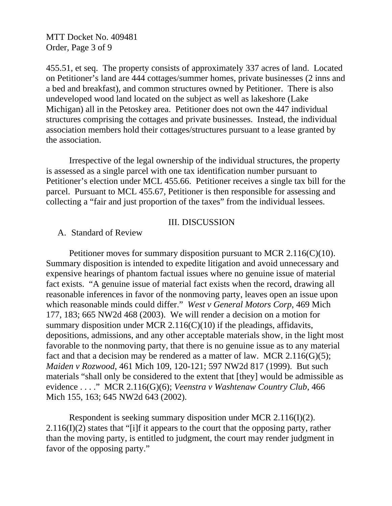MTT Docket No. 409481 Order, Page 3 of 9

455.51, et seq. The property consists of approximately 337 acres of land. Located on Petitioner's land are 444 cottages/summer homes, private businesses (2 inns and a bed and breakfast), and common structures owned by Petitioner. There is also undeveloped wood land located on the subject as well as lakeshore (Lake Michigan) all in the Petoskey area. Petitioner does not own the 447 individual structures comprising the cottages and private businesses. Instead, the individual association members hold their cottages/structures pursuant to a lease granted by the association.

Irrespective of the legal ownership of the individual structures, the property is assessed as a single parcel with one tax identification number pursuant to Petitioner's election under MCL 455.66. Petitioner receives a single tax bill for the parcel. Pursuant to MCL 455.67, Petitioner is then responsible for assessing and collecting a "fair and just proportion of the taxes" from the individual lessees.

#### III. DISCUSSION

A. Standard of Review

Petitioner moves for summary disposition pursuant to MCR 2.116(C)(10). Summary disposition is intended to expedite litigation and avoid unnecessary and expensive hearings of phantom factual issues where no genuine issue of material fact exists. "A genuine issue of material fact exists when the record, drawing all reasonable inferences in favor of the nonmoving party, leaves open an issue upon which reasonable minds could differ." *West v General Motors Corp*, 469 Mich 177, 183; 665 NW2d 468 (2003). We will render a decision on a motion for summary disposition under MCR 2.116(C)(10) if the pleadings, affidavits, depositions, admissions, and any other acceptable materials show, in the light most favorable to the nonmoving party, that there is no genuine issue as to any material fact and that a decision may be rendered as a matter of law. MCR  $2.116(G)(5)$ ; *Maiden v Rozwood*, 461 Mich 109, 120-121; 597 NW2d 817 (1999). But such materials "shall only be considered to the extent that [they] would be admissible as evidence . . . ." MCR 2.116(G)(6); *Veenstra v Washtenaw Country Club*, 466 Mich 155, 163; 645 NW2d 643 (2002).

Respondent is seeking summary disposition under MCR 2.116(I)(2).  $2.116(I)(2)$  states that "[i]f it appears to the court that the opposing party, rather than the moving party, is entitled to judgment, the court may render judgment in favor of the opposing party."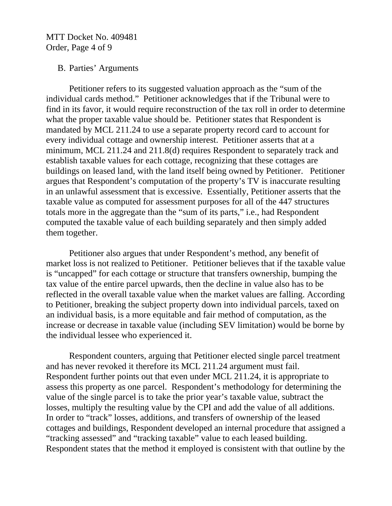MTT Docket No. 409481 Order, Page 4 of 9

#### B. Parties' Arguments

Petitioner refers to its suggested valuation approach as the "sum of the individual cards method." Petitioner acknowledges that if the Tribunal were to find in its favor, it would require reconstruction of the tax roll in order to determine what the proper taxable value should be. Petitioner states that Respondent is mandated by MCL 211.24 to use a separate property record card to account for every individual cottage and ownership interest. Petitioner asserts that at a minimum, MCL 211.24 and 211.8(d) requires Respondent to separately track and establish taxable values for each cottage, recognizing that these cottages are buildings on leased land, with the land itself being owned by Petitioner. Petitioner argues that Respondent's computation of the property's TV is inaccurate resulting in an unlawful assessment that is excessive. Essentially, Petitioner asserts that the taxable value as computed for assessment purposes for all of the 447 structures totals more in the aggregate than the "sum of its parts," i.e., had Respondent computed the taxable value of each building separately and then simply added them together.

Petitioner also argues that under Respondent's method, any benefit of market loss is not realized to Petitioner. Petitioner believes that if the taxable value is "uncapped" for each cottage or structure that transfers ownership, bumping the tax value of the entire parcel upwards, then the decline in value also has to be reflected in the overall taxable value when the market values are falling. According to Petitioner, breaking the subject property down into individual parcels, taxed on an individual basis, is a more equitable and fair method of computation, as the increase or decrease in taxable value (including SEV limitation) would be borne by the individual lessee who experienced it.

Respondent counters, arguing that Petitioner elected single parcel treatment and has never revoked it therefore its MCL 211.24 argument must fail. Respondent further points out that even under MCL 211.24, it is appropriate to assess this property as one parcel. Respondent's methodology for determining the value of the single parcel is to take the prior year's taxable value, subtract the losses, multiply the resulting value by the CPI and add the value of all additions. In order to "track" losses, additions, and transfers of ownership of the leased cottages and buildings, Respondent developed an internal procedure that assigned a "tracking assessed" and "tracking taxable" value to each leased building. Respondent states that the method it employed is consistent with that outline by the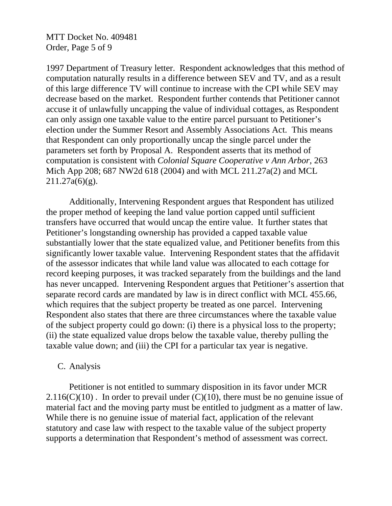MTT Docket No. 409481 Order, Page 5 of 9

1997 Department of Treasury letter. Respondent acknowledges that this method of computation naturally results in a difference between SEV and TV, and as a result of this large difference TV will continue to increase with the CPI while SEV may decrease based on the market. Respondent further contends that Petitioner cannot accuse it of unlawfully uncapping the value of individual cottages, as Respondent can only assign one taxable value to the entire parcel pursuant to Petitioner's election under the Summer Resort and Assembly Associations Act. This means that Respondent can only proportionally uncap the single parcel under the parameters set forth by Proposal A. Respondent asserts that its method of computation is consistent with *Colonial Square Cooperative v Ann Arbor*, 263 Mich App 208; 687 NW2d 618 (2004) and with MCL 211.27a(2) and MCL  $211.27a(6)(g)$ .

Additionally, Intervening Respondent argues that Respondent has utilized the proper method of keeping the land value portion capped until sufficient transfers have occurred that would uncap the entire value. It further states that Petitioner's longstanding ownership has provided a capped taxable value substantially lower that the state equalized value, and Petitioner benefits from this significantly lower taxable value. Intervening Respondent states that the affidavit of the assessor indicates that while land value was allocated to each cottage for record keeping purposes, it was tracked separately from the buildings and the land has never uncapped. Intervening Respondent argues that Petitioner's assertion that separate record cards are mandated by law is in direct conflict with MCL 455.66, which requires that the subject property be treated as one parcel. Intervening Respondent also states that there are three circumstances where the taxable value of the subject property could go down: (i) there is a physical loss to the property; (ii) the state equalized value drops below the taxable value, thereby pulling the taxable value down; and (iii) the CPI for a particular tax year is negative.

#### C. Analysis

Petitioner is not entitled to summary disposition in its favor under MCR  $2.116(C)(10)$ . In order to prevail under  $(C)(10)$ , there must be no genuine issue of material fact and the moving party must be entitled to judgment as a matter of law. While there is no genuine issue of material fact, application of the relevant statutory and case law with respect to the taxable value of the subject property supports a determination that Respondent's method of assessment was correct.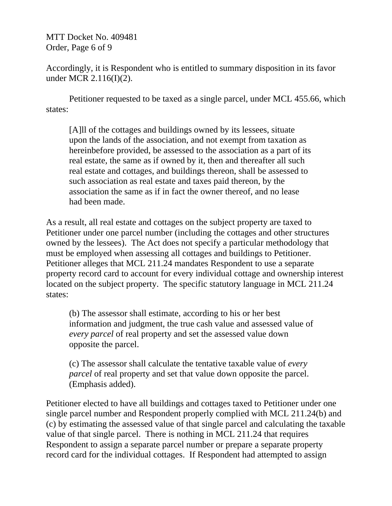MTT Docket No. 409481 Order, Page 6 of 9

Accordingly, it is Respondent who is entitled to summary disposition in its favor under MCR 2.116(I)(2).

Petitioner requested to be taxed as a single parcel, under MCL 455.66, which states:

[A]ll of the cottages and buildings owned by its lessees, situate upon the lands of the association, and not exempt from taxation as hereinbefore provided, be assessed to the association as a part of its real estate, the same as if owned by it, then and thereafter all such real estate and cottages, and buildings thereon, shall be assessed to such association as real estate and taxes paid thereon, by the association the same as if in fact the owner thereof, and no lease had been made.

As a result, all real estate and cottages on the subject property are taxed to Petitioner under one parcel number (including the cottages and other structures owned by the lessees). The Act does not specify a particular methodology that must be employed when assessing all cottages and buildings to Petitioner. Petitioner alleges that MCL 211.24 mandates Respondent to use a separate property record card to account for every individual cottage and ownership interest located on the subject property. The specific statutory language in MCL 211.24 states:

(b) The assessor shall estimate, according to his or her best information and judgment, the true cash value and assessed value of *every parcel* of real property and set the assessed value down opposite the parcel.

(c) The assessor shall calculate the tentative taxable value of *every parcel* of real property and set that value down opposite the parcel. (Emphasis added).

Petitioner elected to have all buildings and cottages taxed to Petitioner under one single parcel number and Respondent properly complied with MCL 211.24(b) and (c) by estimating the assessed value of that single parcel and calculating the taxable value of that single parcel. There is nothing in MCL 211.24 that requires Respondent to assign a separate parcel number or prepare a separate property record card for the individual cottages. If Respondent had attempted to assign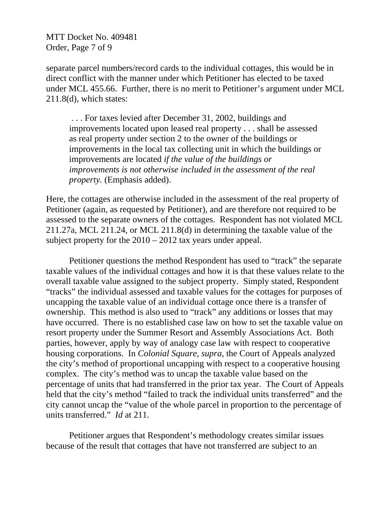MTT Docket No. 409481 Order, Page 7 of 9

separate parcel numbers/record cards to the individual cottages, this would be in direct conflict with the manner under which Petitioner has elected to be taxed under MCL 455.66. Further, there is no merit to Petitioner's argument under MCL 211.8(d), which states:

 . . . For taxes levied after December 31, 2002, buildings and improvements located upon leased real property . . . shall be assessed as real property under section 2 to the owner of the buildings or improvements in the local tax collecting unit in which the buildings or improvements are located *if the value of the buildings or improvements is not otherwise included in the assessment of the real property.* (Emphasis added).

Here, the cottages are otherwise included in the assessment of the real property of Petitioner (again, as requested by Petitioner), and are therefore not required to be assessed to the separate owners of the cottages. Respondent has not violated MCL 211.27a, MCL 211.24, or MCL 211.8(d) in determining the taxable value of the subject property for the 2010 – 2012 tax years under appeal.

Petitioner questions the method Respondent has used to "track" the separate taxable values of the individual cottages and how it is that these values relate to the overall taxable value assigned to the subject property. Simply stated, Respondent "tracks" the individual assessed and taxable values for the cottages for purposes of uncapping the taxable value of an individual cottage once there is a transfer of ownership. This method is also used to "track" any additions or losses that may have occurred. There is no established case law on how to set the taxable value on resort property under the Summer Resort and Assembly Associations Act. Both parties, however, apply by way of analogy case law with respect to cooperative housing corporations. In *Colonial Square*, *supra*, the Court of Appeals analyzed the city's method of proportional uncapping with respect to a cooperative housing complex. The city's method was to uncap the taxable value based on the percentage of units that had transferred in the prior tax year. The Court of Appeals held that the city's method "failed to track the individual units transferred" and the city cannot uncap the "value of the whole parcel in proportion to the percentage of units transferred." *Id* at 211.

Petitioner argues that Respondent's methodology creates similar issues because of the result that cottages that have not transferred are subject to an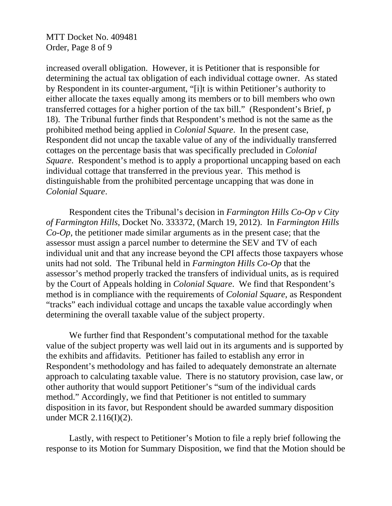MTT Docket No. 409481 Order, Page 8 of 9

increased overall obligation. However, it is Petitioner that is responsible for determining the actual tax obligation of each individual cottage owner. As stated by Respondent in its counter-argument, "[i]t is within Petitioner's authority to either allocate the taxes equally among its members or to bill members who own transferred cottages for a higher portion of the tax bill." (Respondent's Brief, p 18). The Tribunal further finds that Respondent's method is not the same as the prohibited method being applied in *Colonial Square*. In the present case, Respondent did not uncap the taxable value of any of the individually transferred cottages on the percentage basis that was specifically precluded in *Colonial Square*. Respondent's method is to apply a proportional uncapping based on each individual cottage that transferred in the previous year. This method is distinguishable from the prohibited percentage uncapping that was done in *Colonial Square*.

Respondent cites the Tribunal's decision in *Farmington Hills Co-Op v City of Farmington Hills*, Docket No. 333372, (March 19, 2012). In *Farmington Hills Co-Op*, the petitioner made similar arguments as in the present case; that the assessor must assign a parcel number to determine the SEV and TV of each individual unit and that any increase beyond the CPI affects those taxpayers whose units had not sold. The Tribunal held in *Farmington Hills Co-Op* that the assessor's method properly tracked the transfers of individual units, as is required by the Court of Appeals holding in *Colonial Square*. We find that Respondent's method is in compliance with the requirements of *Colonial Square*, as Respondent "tracks" each individual cottage and uncaps the taxable value accordingly when determining the overall taxable value of the subject property.

 We further find that Respondent's computational method for the taxable value of the subject property was well laid out in its arguments and is supported by the exhibits and affidavits. Petitioner has failed to establish any error in Respondent's methodology and has failed to adequately demonstrate an alternate approach to calculating taxable value. There is no statutory provision, case law, or other authority that would support Petitioner's "sum of the individual cards method." Accordingly, we find that Petitioner is not entitled to summary disposition in its favor, but Respondent should be awarded summary disposition under MCR 2.116(I)(2).

 Lastly, with respect to Petitioner's Motion to file a reply brief following the response to its Motion for Summary Disposition, we find that the Motion should be